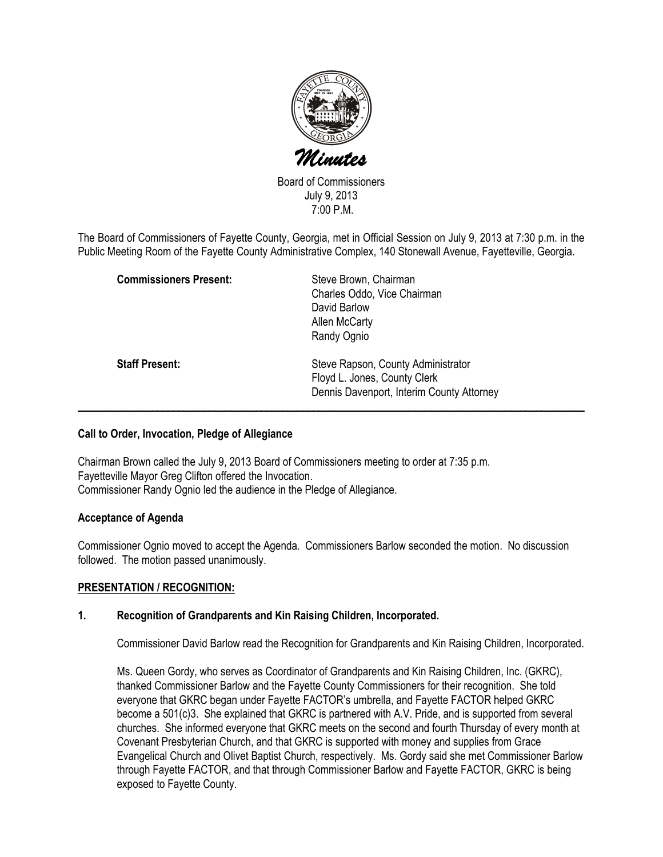

Board of Commissioners July 9, 2013 7:00 P.M.

The Board of Commissioners of Fayette County, Georgia, met in Official Session on July 9, 2013 at 7:30 p.m. in the Public Meeting Room of the Fayette County Administrative Complex, 140 Stonewall Avenue, Fayetteville, Georgia.

| <b>Commissioners Present:</b> | Steve Brown, Chairman<br>Charles Oddo, Vice Chairman<br>David Barlow<br>Allen McCarty                                          |
|-------------------------------|--------------------------------------------------------------------------------------------------------------------------------|
| <b>Staff Present:</b>         | Randy Ognio<br>Steve Rapson, County Administrator<br>Floyd L. Jones, County Clerk<br>Dennis Davenport, Interim County Attorney |

## Call to Order, Invocation, Pledge of Allegiance

Chairman Brown called the July 9, 2013 Board of Commissioners meeting to order at 7:35 p.m. Fayetteville Mayor Greg Clifton offered the Invocation. Commissioner Randy Ognio led the audience in the Pledge of Allegiance.

# Acceptance of Agenda

Commissioner Ognio moved to accept the Agenda. Commissioners Barlow seconded the motion. No discussion followed. The motion passed unanimously.

# PRESENTATION / RECOGNITION:

### 1. Recognition of Grandparents and Kin Raising Children, Incorporated.

Commissioner David Barlow read the Recognition for Grandparents and Kin Raising Children, Incorporated.

Ms. Queen Gordy, who serves as Coordinator of Grandparents and Kin Raising Children, Inc. (GKRC), thanked Commissioner Barlow and the Fayette County Commissioners for their recognition. She told everyone that GKRC began under Fayette FACTOR's umbrella, and Fayette FACTOR helped GKRC become a 501(c)3. She explained that GKRC is partnered with A.V. Pride, and is supported from several churches. She informed everyone that GKRC meets on the second and fourth Thursday of every month at Covenant Presbyterian Church, and that GKRC is supported with money and supplies from Grace Evangelical Church and Olivet Baptist Church, respectively. Ms. Gordy said she met Commissioner Barlow through Fayette FACTOR, and that through Commissioner Barlow and Fayette FACTOR, GKRC is being exposed to Fayette County.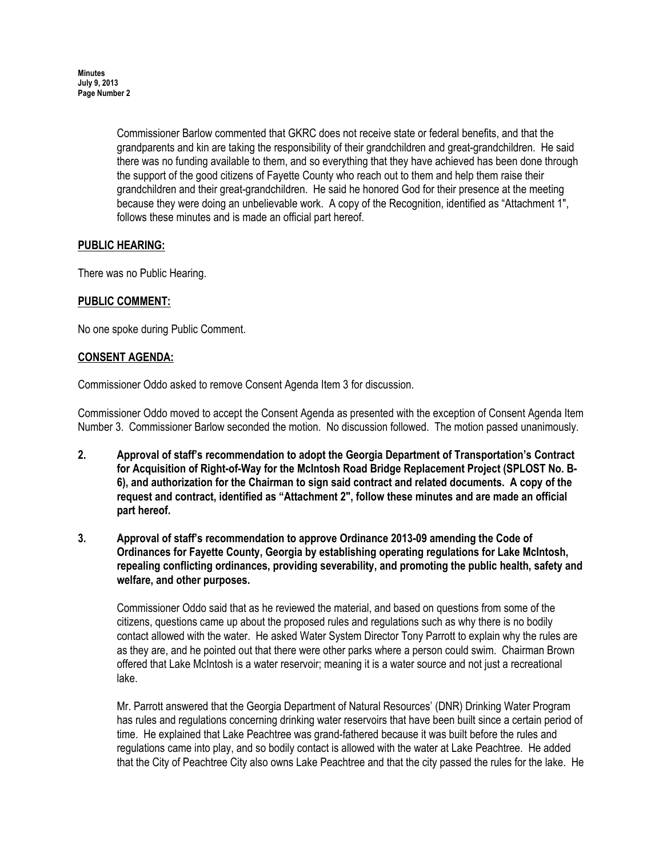Commissioner Barlow commented that GKRC does not receive state or federal benefits, and that the grandparents and kin are taking the responsibility of their grandchildren and great-grandchildren. He said there was no funding available to them, and so everything that they have achieved has been done through the support of the good citizens of Fayette County who reach out to them and help them raise their grandchildren and their great-grandchildren. He said he honored God for their presence at the meeting because they were doing an unbelievable work. A copy of the Recognition, identified as "Attachment 1", follows these minutes and is made an official part hereof.

# PUBLIC HEARING:

There was no Public Hearing.

# PUBLIC COMMENT:

No one spoke during Public Comment.

## CONSENT AGENDA:

Commissioner Oddo asked to remove Consent Agenda Item 3 for discussion.

Commissioner Oddo moved to accept the Consent Agenda as presented with the exception of Consent Agenda Item Number 3. Commissioner Barlow seconded the motion. No discussion followed. The motion passed unanimously.

- 2. Approval of staff's recommendation to adopt the Georgia Department of Transportation's Contract for Acquisition of Right-of-Way for the McIntosh Road Bridge Replacement Project (SPLOST No. B-6), and authorization for the Chairman to sign said contract and related documents. A copy of the request and contract, identified as "Attachment 2", follow these minutes and are made an official part hereof.
- 3. Approval of staff's recommendation to approve Ordinance 2013-09 amending the Code of Ordinances for Fayette County, Georgia by establishing operating regulations for Lake McIntosh, repealing conflicting ordinances, providing severability, and promoting the public health, safety and welfare, and other purposes.

Commissioner Oddo said that as he reviewed the material, and based on questions from some of the citizens, questions came up about the proposed rules and regulations such as why there is no bodily contact allowed with the water. He asked Water System Director Tony Parrott to explain why the rules are as they are, and he pointed out that there were other parks where a person could swim. Chairman Brown offered that Lake McIntosh is a water reservoir; meaning it is a water source and not just a recreational lake.

Mr. Parrott answered that the Georgia Department of Natural Resources' (DNR) Drinking Water Program has rules and regulations concerning drinking water reservoirs that have been built since a certain period of time. He explained that Lake Peachtree was grand-fathered because it was built before the rules and regulations came into play, and so bodily contact is allowed with the water at Lake Peachtree. He added that the City of Peachtree City also owns Lake Peachtree and that the city passed the rules for the lake. He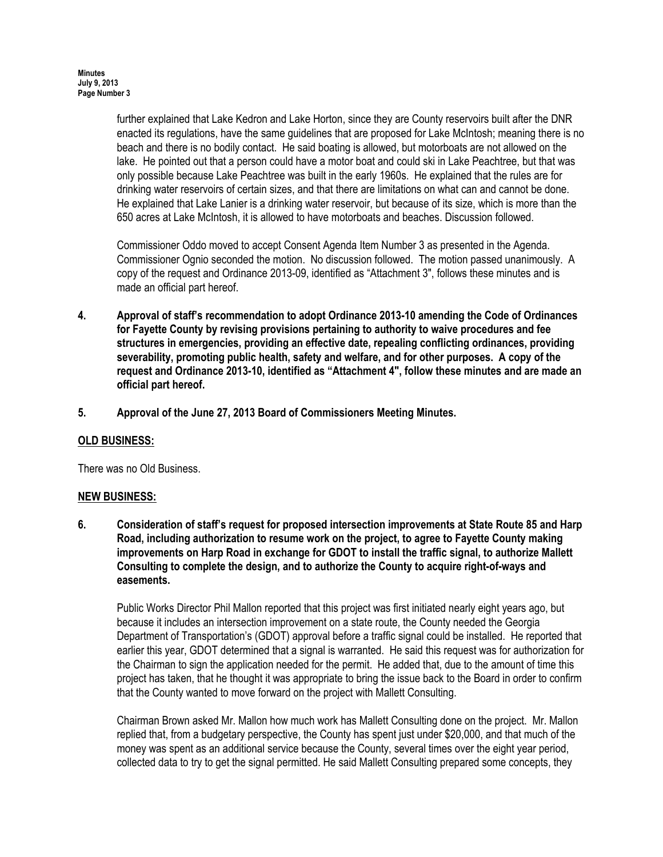further explained that Lake Kedron and Lake Horton, since they are County reservoirs built after the DNR enacted its regulations, have the same guidelines that are proposed for Lake McIntosh; meaning there is no beach and there is no bodily contact. He said boating is allowed, but motorboats are not allowed on the lake. He pointed out that a person could have a motor boat and could ski in Lake Peachtree, but that was only possible because Lake Peachtree was built in the early 1960s. He explained that the rules are for drinking water reservoirs of certain sizes, and that there are limitations on what can and cannot be done. He explained that Lake Lanier is a drinking water reservoir, but because of its size, which is more than the 650 acres at Lake McIntosh, it is allowed to have motorboats and beaches. Discussion followed.

Commissioner Oddo moved to accept Consent Agenda Item Number 3 as presented in the Agenda. Commissioner Ognio seconded the motion. No discussion followed. The motion passed unanimously. A copy of the request and Ordinance 2013-09, identified as "Attachment 3", follows these minutes and is made an official part hereof.

- 4. Approval of staff's recommendation to adopt Ordinance 2013-10 amending the Code of Ordinances for Fayette County by revising provisions pertaining to authority to waive procedures and fee structures in emergencies, providing an effective date, repealing conflicting ordinances, providing severability, promoting public health, safety and welfare, and for other purposes. A copy of the request and Ordinance 2013-10, identified as "Attachment 4", follow these minutes and are made an official part hereof.
- 5. Approval of the June 27, 2013 Board of Commissioners Meeting Minutes.

# OLD BUSINESS:

There was no Old Business.

### NEW BUSINESS:

6. Consideration of staff's request for proposed intersection improvements at State Route 85 and Harp Road, including authorization to resume work on the project, to agree to Fayette County making improvements on Harp Road in exchange for GDOT to install the traffic signal, to authorize Mallett Consulting to complete the design, and to authorize the County to acquire right-of-ways and easements.

Public Works Director Phil Mallon reported that this project was first initiated nearly eight years ago, but because it includes an intersection improvement on a state route, the County needed the Georgia Department of Transportation's (GDOT) approval before a traffic signal could be installed. He reported that earlier this year, GDOT determined that a signal is warranted. He said this request was for authorization for the Chairman to sign the application needed for the permit. He added that, due to the amount of time this project has taken, that he thought it was appropriate to bring the issue back to the Board in order to confirm that the County wanted to move forward on the project with Mallett Consulting.

Chairman Brown asked Mr. Mallon how much work has Mallett Consulting done on the project. Mr. Mallon replied that, from a budgetary perspective, the County has spent just under \$20,000, and that much of the money was spent as an additional service because the County, several times over the eight year period, collected data to try to get the signal permitted. He said Mallett Consulting prepared some concepts, they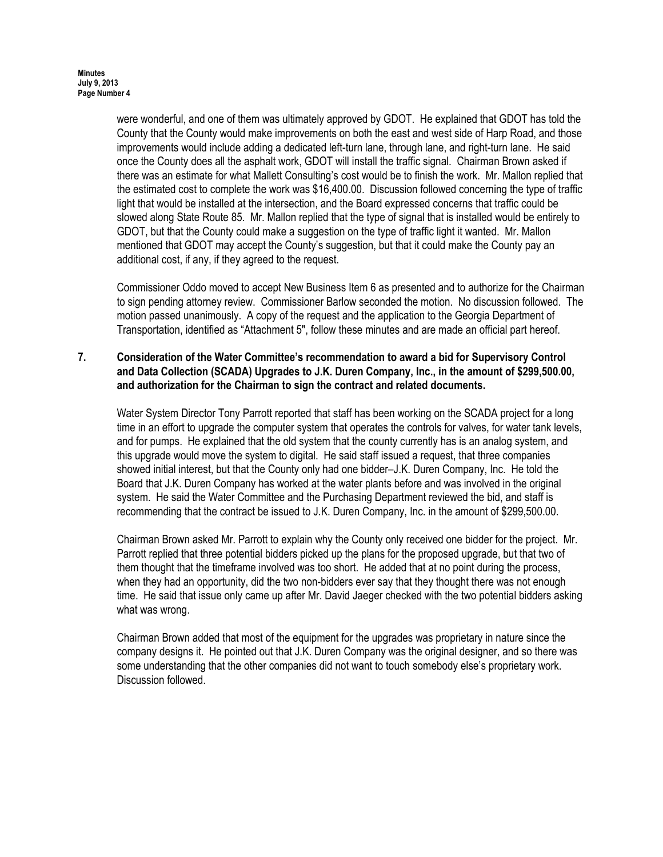were wonderful, and one of them was ultimately approved by GDOT. He explained that GDOT has told the County that the County would make improvements on both the east and west side of Harp Road, and those improvements would include adding a dedicated left-turn lane, through lane, and right-turn lane. He said once the County does all the asphalt work, GDOT will install the traffic signal. Chairman Brown asked if there was an estimate for what Mallett Consulting's cost would be to finish the work. Mr. Mallon replied that the estimated cost to complete the work was \$16,400.00. Discussion followed concerning the type of traffic light that would be installed at the intersection, and the Board expressed concerns that traffic could be slowed along State Route 85. Mr. Mallon replied that the type of signal that is installed would be entirely to GDOT, but that the County could make a suggestion on the type of traffic light it wanted. Mr. Mallon mentioned that GDOT may accept the County's suggestion, but that it could make the County pay an additional cost, if any, if they agreed to the request.

Commissioner Oddo moved to accept New Business Item 6 as presented and to authorize for the Chairman to sign pending attorney review. Commissioner Barlow seconded the motion. No discussion followed. The motion passed unanimously. A copy of the request and the application to the Georgia Department of Transportation, identified as "Attachment 5", follow these minutes and are made an official part hereof.

## 7. Consideration of the Water Committee's recommendation to award a bid for Supervisory Control and Data Collection (SCADA) Upgrades to J.K. Duren Company, Inc., in the amount of \$299,500.00, and authorization for the Chairman to sign the contract and related documents.

Water System Director Tony Parrott reported that staff has been working on the SCADA project for a long time in an effort to upgrade the computer system that operates the controls for valves, for water tank levels, and for pumps. He explained that the old system that the county currently has is an analog system, and this upgrade would move the system to digital. He said staff issued a request, that three companies showed initial interest, but that the County only had one bidder–J.K. Duren Company, Inc. He told the Board that J.K. Duren Company has worked at the water plants before and was involved in the original system. He said the Water Committee and the Purchasing Department reviewed the bid, and staff is recommending that the contract be issued to J.K. Duren Company, Inc. in the amount of \$299,500.00.

Chairman Brown asked Mr. Parrott to explain why the County only received one bidder for the project. Mr. Parrott replied that three potential bidders picked up the plans for the proposed upgrade, but that two of them thought that the timeframe involved was too short. He added that at no point during the process, when they had an opportunity, did the two non-bidders ever say that they thought there was not enough time. He said that issue only came up after Mr. David Jaeger checked with the two potential bidders asking what was wrong.

Chairman Brown added that most of the equipment for the upgrades was proprietary in nature since the company designs it. He pointed out that J.K. Duren Company was the original designer, and so there was some understanding that the other companies did not want to touch somebody else's proprietary work. Discussion followed.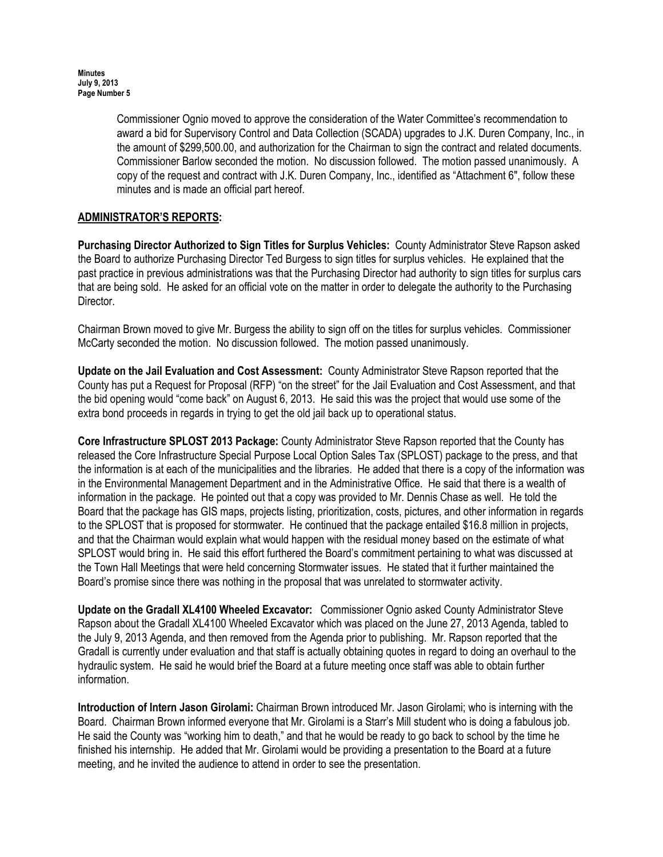Commissioner Ognio moved to approve the consideration of the Water Committee's recommendation to award a bid for Supervisory Control and Data Collection (SCADA) upgrades to J.K. Duren Company, Inc., in the amount of \$299,500.00, and authorization for the Chairman to sign the contract and related documents. Commissioner Barlow seconded the motion. No discussion followed. The motion passed unanimously. A copy of the request and contract with J.K. Duren Company, Inc., identified as "Attachment 6", follow these minutes and is made an official part hereof.

# ADMINISTRATOR'S REPORTS:

Purchasing Director Authorized to Sign Titles for Surplus Vehicles: County Administrator Steve Rapson asked the Board to authorize Purchasing Director Ted Burgess to sign titles for surplus vehicles. He explained that the past practice in previous administrations was that the Purchasing Director had authority to sign titles for surplus cars that are being sold. He asked for an official vote on the matter in order to delegate the authority to the Purchasing Director.

Chairman Brown moved to give Mr. Burgess the ability to sign off on the titles for surplus vehicles. Commissioner McCarty seconded the motion. No discussion followed. The motion passed unanimously.

Update on the Jail Evaluation and Cost Assessment: County Administrator Steve Rapson reported that the County has put a Request for Proposal (RFP) "on the street" for the Jail Evaluation and Cost Assessment, and that the bid opening would "come back" on August 6, 2013. He said this was the project that would use some of the extra bond proceeds in regards in trying to get the old jail back up to operational status.

Core Infrastructure SPLOST 2013 Package: County Administrator Steve Rapson reported that the County has released the Core Infrastructure Special Purpose Local Option Sales Tax (SPLOST) package to the press, and that the information is at each of the municipalities and the libraries. He added that there is a copy of the information was in the Environmental Management Department and in the Administrative Office. He said that there is a wealth of information in the package. He pointed out that a copy was provided to Mr. Dennis Chase as well. He told the Board that the package has GIS maps, projects listing, prioritization, costs, pictures, and other information in regards to the SPLOST that is proposed for stormwater. He continued that the package entailed \$16.8 million in projects, and that the Chairman would explain what would happen with the residual money based on the estimate of what SPLOST would bring in. He said this effort furthered the Board's commitment pertaining to what was discussed at the Town Hall Meetings that were held concerning Stormwater issues. He stated that it further maintained the Board's promise since there was nothing in the proposal that was unrelated to stormwater activity.

Update on the Gradall XL4100 Wheeled Excavator: Commissioner Ognio asked County Administrator Steve Rapson about the Gradall XL4100 Wheeled Excavator which was placed on the June 27, 2013 Agenda, tabled to the July 9, 2013 Agenda, and then removed from the Agenda prior to publishing. Mr. Rapson reported that the Gradall is currently under evaluation and that staff is actually obtaining quotes in regard to doing an overhaul to the hydraulic system. He said he would brief the Board at a future meeting once staff was able to obtain further information.

Introduction of Intern Jason Girolami: Chairman Brown introduced Mr. Jason Girolami; who is interning with the Board. Chairman Brown informed everyone that Mr. Girolami is a Starr's Mill student who is doing a fabulous job. He said the County was "working him to death," and that he would be ready to go back to school by the time he finished his internship. He added that Mr. Girolami would be providing a presentation to the Board at a future meeting, and he invited the audience to attend in order to see the presentation.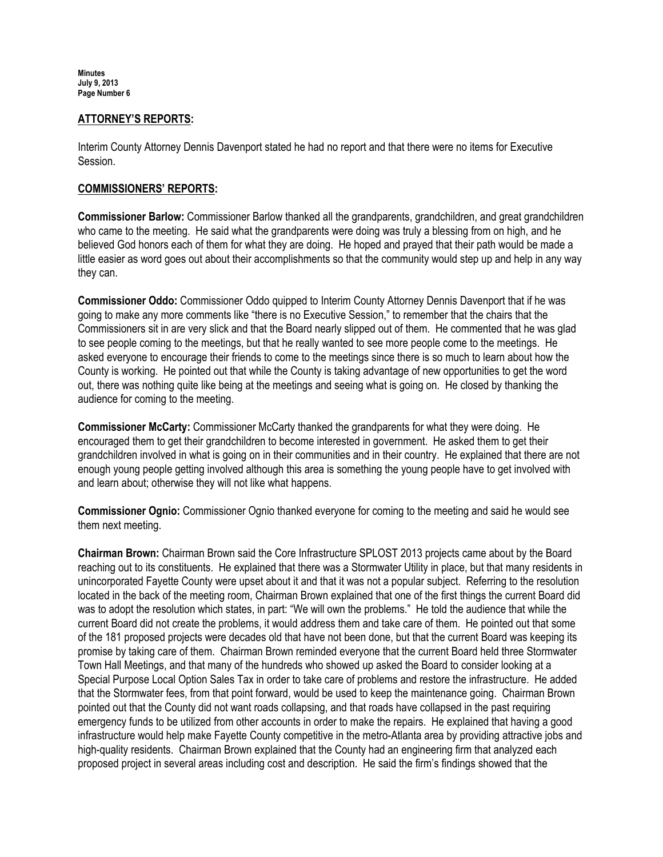Minutes July 9, 2013 Page Number 6

#### ATTORNEY'S REPORTS:

Interim County Attorney Dennis Davenport stated he had no report and that there were no items for Executive Session.

#### COMMISSIONERS' REPORTS:

Commissioner Barlow: Commissioner Barlow thanked all the grandparents, grandchildren, and great grandchildren who came to the meeting. He said what the grandparents were doing was truly a blessing from on high, and he believed God honors each of them for what they are doing. He hoped and prayed that their path would be made a little easier as word goes out about their accomplishments so that the community would step up and help in any way they can.

Commissioner Oddo: Commissioner Oddo quipped to Interim County Attorney Dennis Davenport that if he was going to make any more comments like "there is no Executive Session," to remember that the chairs that the Commissioners sit in are very slick and that the Board nearly slipped out of them. He commented that he was glad to see people coming to the meetings, but that he really wanted to see more people come to the meetings. He asked everyone to encourage their friends to come to the meetings since there is so much to learn about how the County is working. He pointed out that while the County is taking advantage of new opportunities to get the word out, there was nothing quite like being at the meetings and seeing what is going on. He closed by thanking the audience for coming to the meeting.

Commissioner McCarty: Commissioner McCarty thanked the grandparents for what they were doing. He encouraged them to get their grandchildren to become interested in government. He asked them to get their grandchildren involved in what is going on in their communities and in their country. He explained that there are not enough young people getting involved although this area is something the young people have to get involved with and learn about; otherwise they will not like what happens.

Commissioner Ognio: Commissioner Ognio thanked everyone for coming to the meeting and said he would see them next meeting.

Chairman Brown: Chairman Brown said the Core Infrastructure SPLOST 2013 projects came about by the Board reaching out to its constituents. He explained that there was a Stormwater Utility in place, but that many residents in unincorporated Fayette County were upset about it and that it was not a popular subject. Referring to the resolution located in the back of the meeting room, Chairman Brown explained that one of the first things the current Board did was to adopt the resolution which states, in part: "We will own the problems." He told the audience that while the current Board did not create the problems, it would address them and take care of them. He pointed out that some of the 181 proposed projects were decades old that have not been done, but that the current Board was keeping its promise by taking care of them. Chairman Brown reminded everyone that the current Board held three Stormwater Town Hall Meetings, and that many of the hundreds who showed up asked the Board to consider looking at a Special Purpose Local Option Sales Tax in order to take care of problems and restore the infrastructure. He added that the Stormwater fees, from that point forward, would be used to keep the maintenance going. Chairman Brown pointed out that the County did not want roads collapsing, and that roads have collapsed in the past requiring emergency funds to be utilized from other accounts in order to make the repairs. He explained that having a good infrastructure would help make Fayette County competitive in the metro-Atlanta area by providing attractive jobs and high-quality residents. Chairman Brown explained that the County had an engineering firm that analyzed each proposed project in several areas including cost and description. He said the firm's findings showed that the